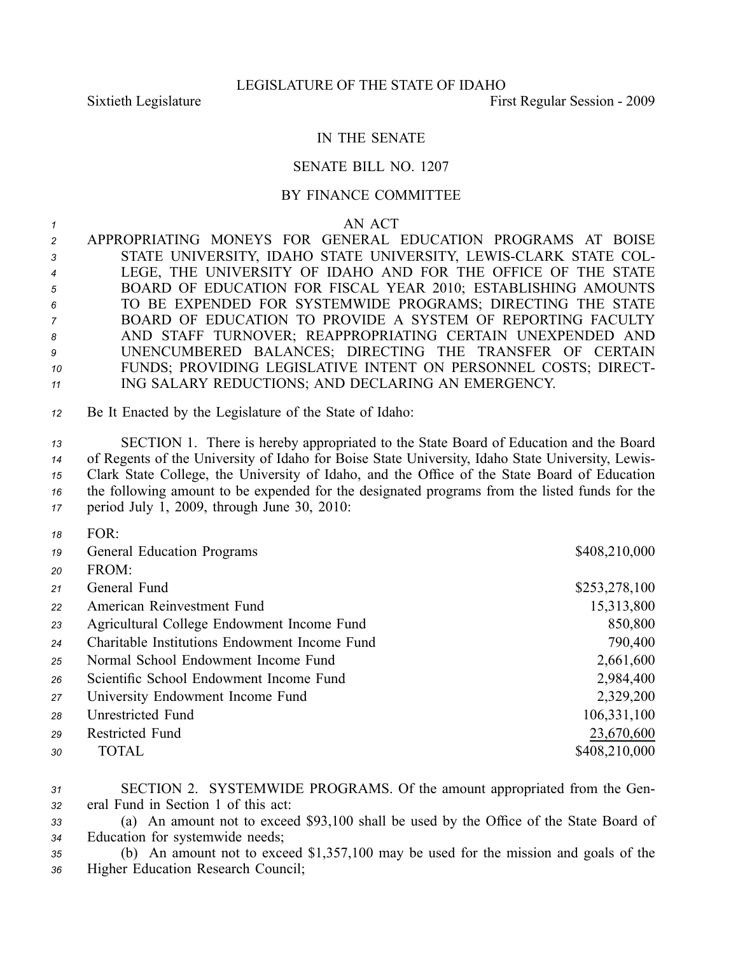*18* FOR:

## IN THE SENATE

## SENATE BILL NO. 1207

## BY FINANCE COMMITTEE

*<sup>1</sup>* AN ACT

| $\mathcal{P}$  | APPROPRIATING MONEYS FOR GENERAL EDUCATION PROGRAMS AT BOISE     |
|----------------|------------------------------------------------------------------|
| $\mathbf{3}$   | STATE UNIVERSITY, IDAHO STATE UNIVERSITY, LEWIS-CLARK STATE COL- |
| $\overline{4}$ | LEGE, THE UNIVERSITY OF IDAHO AND FOR THE OFFICE OF THE STATE    |
| 5              | BOARD OF EDUCATION FOR FISCAL YEAR 2010; ESTABLISHING AMOUNTS    |
| 6              | TO BE EXPENDED FOR SYSTEMWIDE PROGRAMS; DIRECTING THE STATE      |
| $\overline{7}$ | BOARD OF EDUCATION TO PROVIDE A SYSTEM OF REPORTING FACULTY      |
| 8              | AND STAFF TURNOVER; REAPPROPRIATING CERTAIN UNEXPENDED AND       |
| 9              | UNENCUMBERED BALANCES; DIRECTING THE TRANSFER OF CERTAIN         |
| 10             | FUNDS; PROVIDING LEGISLATIVE INTENT ON PERSONNEL COSTS; DIRECT-  |
| 11             | ING SALARY REDUCTIONS; AND DECLARING AN EMERGENCY.               |

*<sup>12</sup>* Be It Enacted by the Legislature of the State of Idaho:

 SECTION 1. There is hereby appropriated to the State Board of Education and the Board of Regents of the University of Idaho for Boise State University, Idaho State University, Lewis- Clark State College, the University of Idaho, and the Office of the State Board of Education the following amount to be expended for the designated programs from the listed funds for the period July 1, 2009, through June 30, 2010:

| , , | 1 V J I V                                     |               |
|-----|-----------------------------------------------|---------------|
| 19  | <b>General Education Programs</b>             | \$408,210,000 |
| 20  | FROM:                                         |               |
| 21  | General Fund                                  | \$253,278,100 |
| 22  | American Reinvestment Fund                    | 15,313,800    |
| 23  | Agricultural College Endowment Income Fund    | 850,800       |
| 24  | Charitable Institutions Endowment Income Fund | 790,400       |
| 25  | Normal School Endowment Income Fund           | 2,661,600     |
| 26  | Scientific School Endowment Income Fund       | 2,984,400     |
| 27  | University Endowment Income Fund              | 2,329,200     |
| 28  | Unrestricted Fund                             | 106, 331, 100 |
| 29  | Restricted Fund                               | 23,670,600    |
| 30  | TOTAL                                         | \$408,210,000 |
|     |                                               |               |

*<sup>31</sup>* SECTION 2. SYSTEMWIDE PROGRAMS. Of the amount appropriated from the Gen-*<sup>32</sup>* eral Fund in Section 1 of this act:

*<sup>33</sup>* (a) An amount not to exceed \$93,100 shall be used by the Office of the State Board of *<sup>34</sup>* Education for systemwide needs;

*<sup>35</sup>* (b) An amount not to exceed \$1,357,100 may be used for the mission and goals of the *<sup>36</sup>* Higher Education Research Council;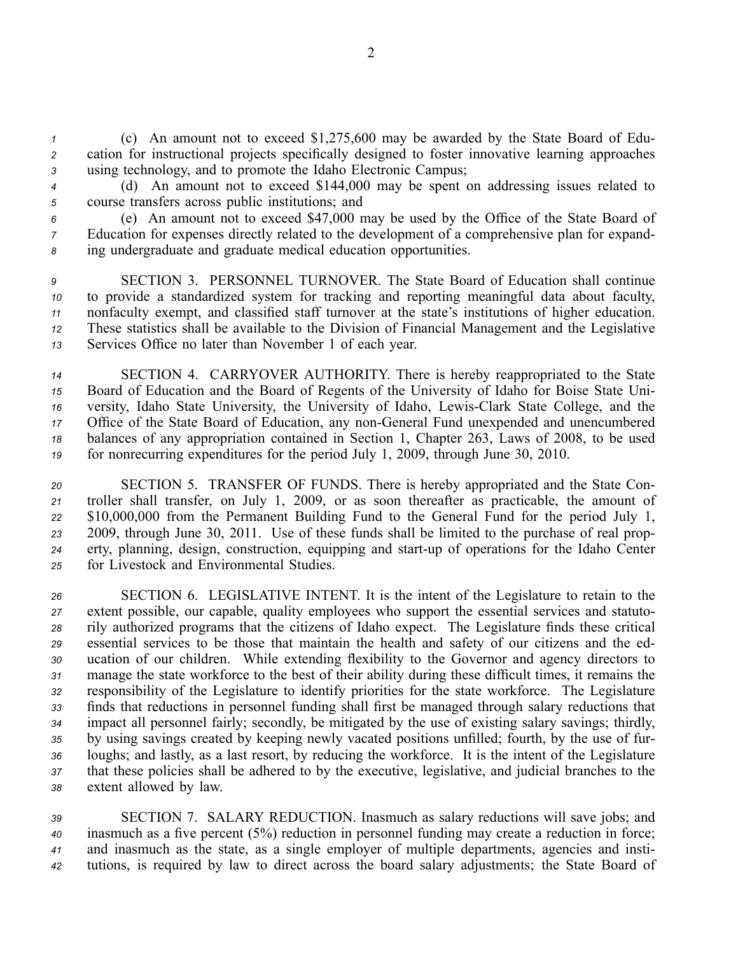*<sup>1</sup>* (c) An amount not to exceed \$1,275,600 may be awarded by the State Board of Edu-*<sup>2</sup>* cation for instructional projects specifically designed to foster innovative learning approaches *<sup>3</sup>* using technology, and to promote the Idaho Electronic Campus;

*<sup>4</sup>* (d) An amount not to exceed \$144,000 may be spen<sup>t</sup> on addressing issues related to *<sup>5</sup>* course transfers across public institutions; and

*<sup>6</sup>* (e) An amount not to exceed \$47,000 may be used by the Office of the State Board of *<sup>7</sup>* Education for expenses directly related to the development of <sup>a</sup> comprehensive plan for expand-*<sup>8</sup>* ing undergraduate and graduate medical education opportunities.

 SECTION 3. PERSONNEL TURNOVER. The State Board of Education shall continue to provide <sup>a</sup> standardized system for tracking and reporting meaningful data about faculty, nonfaculty exempt, and classified staff turnover at the state's institutions of higher education. These statistics shall be available to the Division of Financial Management and the Legislative Services Office no later than November 1 of each year.

 SECTION 4. CARRYOVER AUTHORITY. There is hereby reappropriated to the State Board of Education and the Board of Regents of the University of Idaho for Boise State Uni- versity, Idaho State University, the University of Idaho, LewisClark State College, and the Office of the State Board of Education, any nonGeneral Fund unexpended and unencumbered balances of any appropriation contained in Section 1, Chapter 263, Laws of 2008, to be used for nonrecurring expenditures for the period July 1, 2009, through June 30, 2010.

 SECTION 5. TRANSFER OF FUNDS. There is hereby appropriated and the State Con- troller shall transfer, on July 1, 2009, or as soon thereafter as practicable, the amount of \$10,000,000 from the Permanent Building Fund to the General Fund for the period July 1, 2009, through June 30, 2011. Use of these funds shall be limited to the purchase of real prop- erty, planning, design, construction, equipping and start-up of operations for the Idaho Center for Livestock and Environmental Studies.

 SECTION 6. LEGISLATIVE INTENT. It is the intent of the Legislature to retain to the extent possible, our capable, quality employees who suppor<sup>t</sup> the essential services and statuto- rily authorized programs that the citizens of Idaho expect. The Legislature finds these critical essential services to be those that maintain the health and safety of our citizens and the ed- ucation of our children. While extending flexibility to the Governor and agency directors to manage the state workforce to the best of their ability during these difficult times, it remains the responsibility of the Legislature to identify priorities for the state workforce. The Legislature finds that reductions in personnel funding shall first be managed through salary reductions that impact all personnel fairly; secondly, be mitigated by the use of existing salary savings; thirdly, by using savings created by keeping newly vacated positions unfilled; fourth, by the use of fur- loughs; and lastly, as <sup>a</sup> last resort, by reducing the workforce. It is the intent of the Legislature that these policies shall be adhered to by the executive, legislative, and judicial branches to the extent allowed by law.

 SECTION 7. SALARY REDUCTION. Inasmuch as salary reductions will save jobs; and inasmuch as <sup>a</sup> five percen<sup>t</sup> (5%) reduction in personnel funding may create <sup>a</sup> reduction in force; and inasmuch as the state, as <sup>a</sup> single employer of multiple departments, agencies and insti-tutions, is required by law to direct across the board salary adjustments; the State Board of